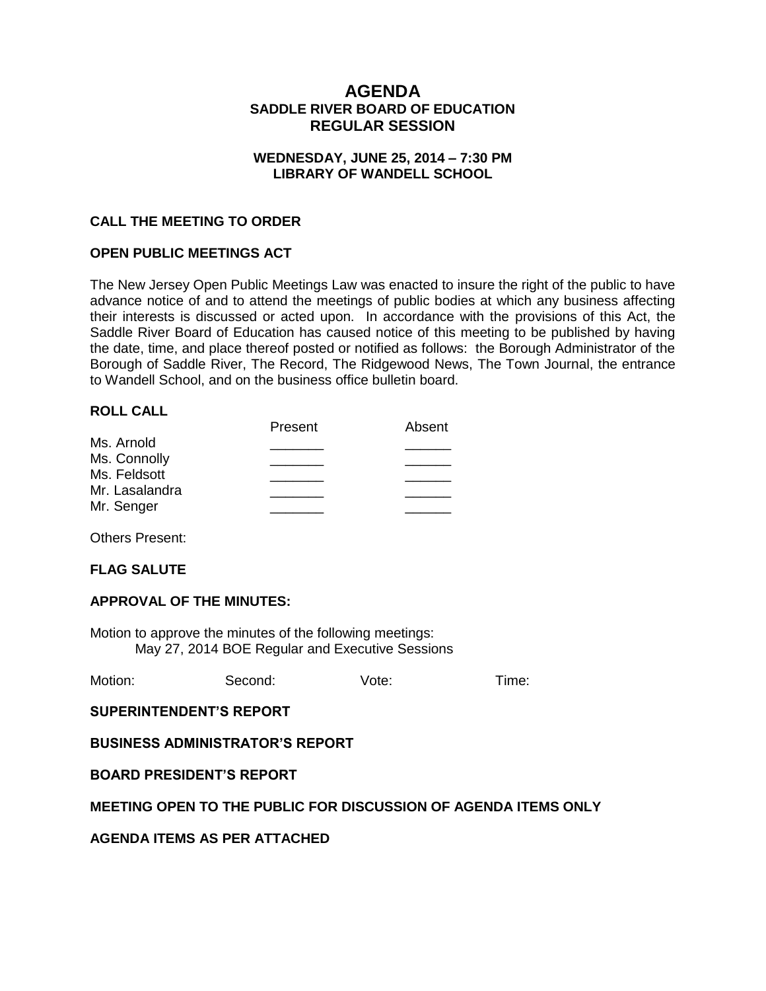# **AGENDA SADDLE RIVER BOARD OF EDUCATION REGULAR SESSION**

## **WEDNESDAY, JUNE 25, 2014 – 7:30 PM LIBRARY OF WANDELL SCHOOL**

## **CALL THE MEETING TO ORDER**

### **OPEN PUBLIC MEETINGS ACT**

The New Jersey Open Public Meetings Law was enacted to insure the right of the public to have advance notice of and to attend the meetings of public bodies at which any business affecting their interests is discussed or acted upon. In accordance with the provisions of this Act, the Saddle River Board of Education has caused notice of this meeting to be published by having the date, time, and place thereof posted or notified as follows: the Borough Administrator of the Borough of Saddle River, The Record, The Ridgewood News, The Town Journal, the entrance to Wandell School, and on the business office bulletin board.

### **ROLL CALL**

|                | Present | Absent |
|----------------|---------|--------|
| Ms. Arnold     |         |        |
| Ms. Connolly   |         |        |
| Ms. Feldsott   |         |        |
| Mr. Lasalandra |         |        |
| Mr. Senger     |         |        |
|                |         |        |

Others Present:

### **FLAG SALUTE**

### **APPROVAL OF THE MINUTES:**

Motion to approve the minutes of the following meetings: May 27, 2014 BOE Regular and Executive Sessions

| Motion: | Second: | Vote: | Time: |
|---------|---------|-------|-------|
|         |         |       |       |

**SUPERINTENDENT'S REPORT**

**BUSINESS ADMINISTRATOR'S REPORT**

**BOARD PRESIDENT'S REPORT**

### **MEETING OPEN TO THE PUBLIC FOR DISCUSSION OF AGENDA ITEMS ONLY**

**AGENDA ITEMS AS PER ATTACHED**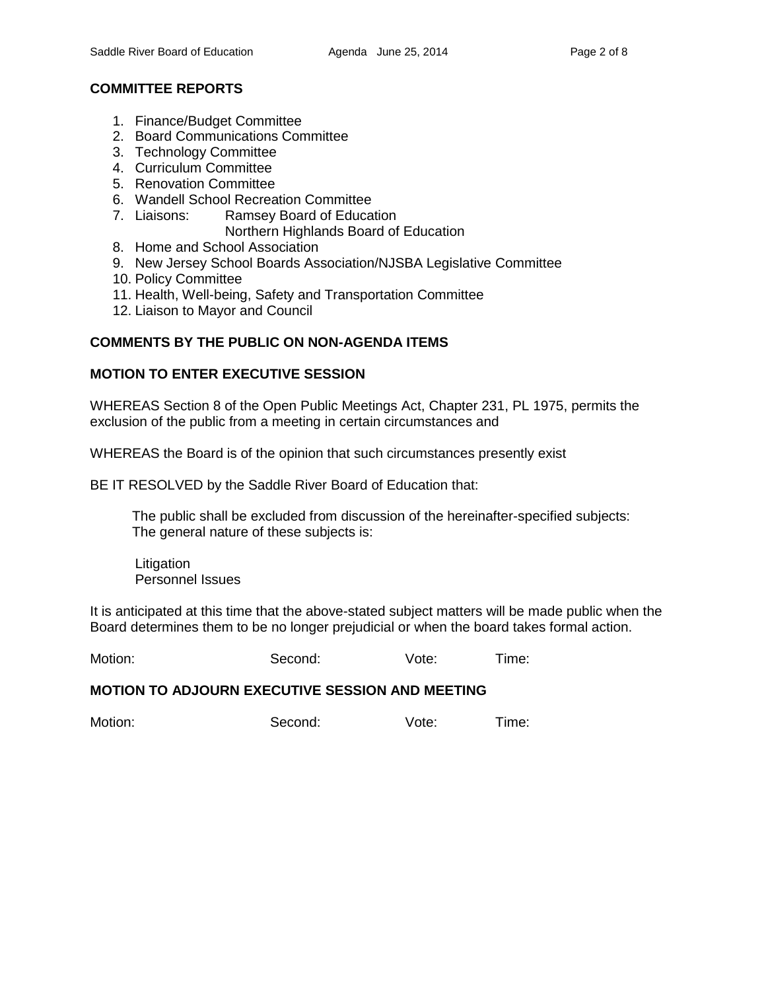# **COMMITTEE REPORTS**

- 1. Finance/Budget Committee
- 2. Board Communications Committee
- 3. Technology Committee
- 4. Curriculum Committee
- 5. Renovation Committee
- 6. Wandell School Recreation Committee
- 7. Liaisons: Ramsey Board of Education
	- Northern Highlands Board of Education
- 8. Home and School Association
- 9. New Jersey School Boards Association/NJSBA Legislative Committee
- 10. Policy Committee
- 11. Health, Well-being, Safety and Transportation Committee
- 12. Liaison to Mayor and Council

## **COMMENTS BY THE PUBLIC ON NON-AGENDA ITEMS**

## **MOTION TO ENTER EXECUTIVE SESSION**

WHEREAS Section 8 of the Open Public Meetings Act, Chapter 231, PL 1975, permits the exclusion of the public from a meeting in certain circumstances and

WHEREAS the Board is of the opinion that such circumstances presently exist

BE IT RESOLVED by the Saddle River Board of Education that:

 The public shall be excluded from discussion of the hereinafter-specified subjects: The general nature of these subjects is:

**Litigation** Personnel Issues

It is anticipated at this time that the above-stated subject matters will be made public when the Board determines them to be no longer prejudicial or when the board takes formal action.

Motion: Second: Vote: Time:

### **MOTION TO ADJOURN EXECUTIVE SESSION AND MEETING**

Motion: Second: Vote: Time: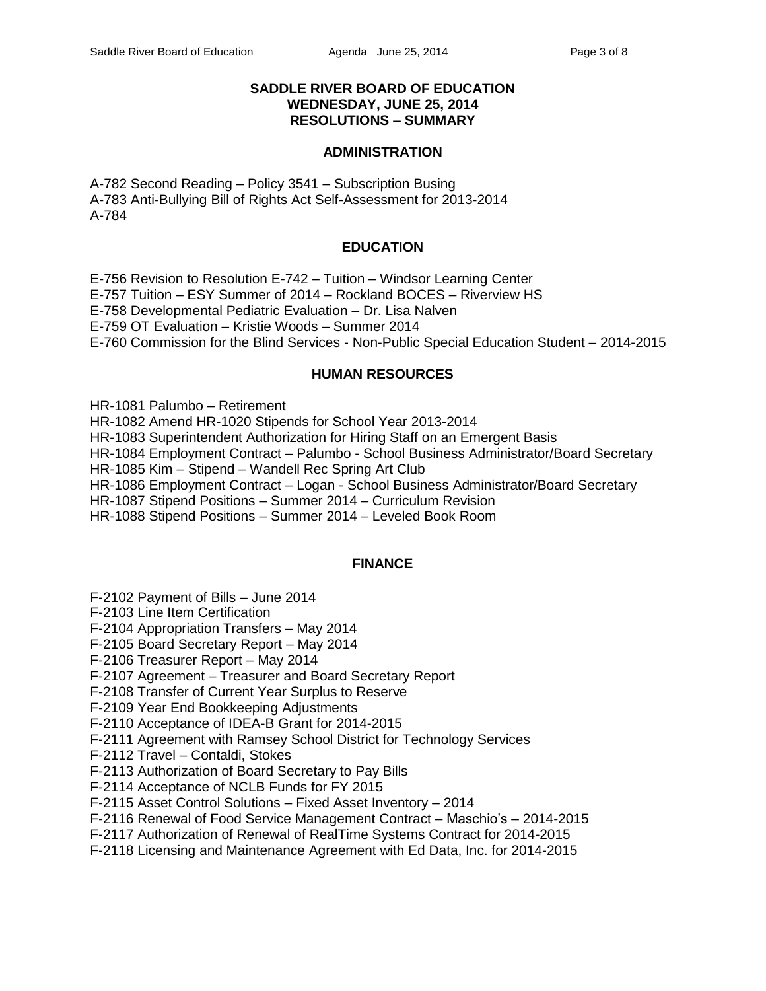### **SADDLE RIVER BOARD OF EDUCATION WEDNESDAY, JUNE 25, 2014 RESOLUTIONS – SUMMARY**

#### **ADMINISTRATION**

A-782 Second Reading – Policy 3541 – Subscription Busing A-783 Anti-Bullying Bill of Rights Act Self-Assessment for 2013-2014 A-784

## **EDUCATION**

E-756 Revision to Resolution E-742 – Tuition – Windsor Learning Center

E-757 Tuition – ESY Summer of 2014 – Rockland BOCES – Riverview HS

E-758 Developmental Pediatric Evaluation – Dr. Lisa Nalven

E-759 OT Evaluation – Kristie Woods – Summer 2014

E-760 Commission for the Blind Services - Non-Public Special Education Student – 2014-2015

### **HUMAN RESOURCES**

HR-1081 Palumbo – Retirement

HR-1082 Amend HR-1020 Stipends for School Year 2013-2014

HR-1083 Superintendent Authorization for Hiring Staff on an Emergent Basis

HR-1084 Employment Contract – Palumbo - School Business Administrator/Board Secretary

HR-1085 Kim – Stipend – Wandell Rec Spring Art Club

HR-1086 Employment Contract – Logan - School Business Administrator/Board Secretary

HR-1087 Stipend Positions – Summer 2014 – Curriculum Revision

HR-1088 Stipend Positions – Summer 2014 – Leveled Book Room

## **FINANCE**

F-2102 Payment of Bills – June 2014

F-2103 Line Item Certification

F-2104 Appropriation Transfers – May 2014

F-2105 Board Secretary Report – May 2014

F-2106 Treasurer Report – May 2014

F-2107 Agreement – Treasurer and Board Secretary Report

F-2108 Transfer of Current Year Surplus to Reserve

F-2109 Year End Bookkeeping Adjustments

F-2110 Acceptance of IDEA-B Grant for 2014-2015

F-2111 Agreement with Ramsey School District for Technology Services

F-2112 Travel – Contaldi, Stokes

F-2113 Authorization of Board Secretary to Pay Bills

F-2114 Acceptance of NCLB Funds for FY 2015

F-2115 Asset Control Solutions – Fixed Asset Inventory – 2014

F-2116 Renewal of Food Service Management Contract – Maschio's – 2014-2015

F-2117 Authorization of Renewal of RealTime Systems Contract for 2014-2015

F-2118 Licensing and Maintenance Agreement with Ed Data, Inc. for 2014-2015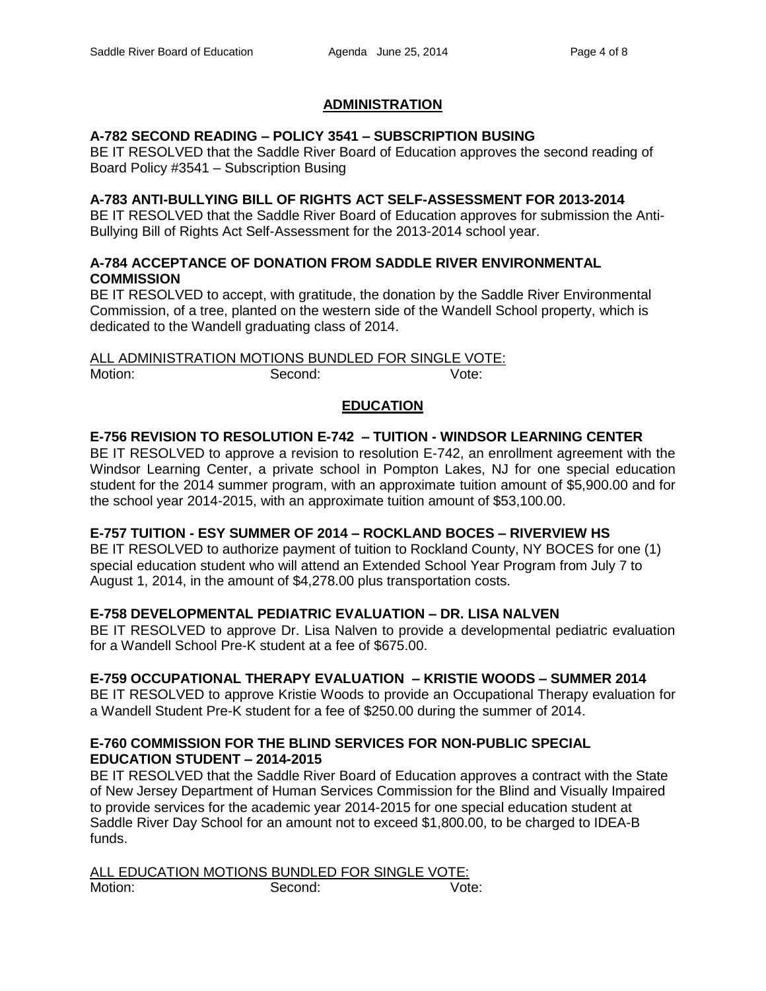## **ADMINISTRATION**

### **A-782 SECOND READING – POLICY 3541 – SUBSCRIPTION BUSING**

BE IT RESOLVED that the Saddle River Board of Education approves the second reading of Board Policy #3541 – Subscription Busing

### **A-783 ANTI-BULLYING BILL OF RIGHTS ACT SELF-ASSESSMENT FOR 2013-2014**

BE IT RESOLVED that the Saddle River Board of Education approves for submission the Anti-Bullying Bill of Rights Act Self-Assessment for the 2013-2014 school year.

## **A-784 ACCEPTANCE OF DONATION FROM SADDLE RIVER ENVIRONMENTAL COMMISSION**

BE IT RESOLVED to accept, with gratitude, the donation by the Saddle River Environmental Commission, of a tree, planted on the western side of the Wandell School property, which is dedicated to the Wandell graduating class of 2014.

ALL ADMINISTRATION MOTIONS BUNDLED FOR SINGLE VOTE: Motion: Second: Second: Vote:

# **EDUCATION**

## **E-756 REVISION TO RESOLUTION E-742 – TUITION - WINDSOR LEARNING CENTER**

BE IT RESOLVED to approve a revision to resolution E-742, an enrollment agreement with the Windsor Learning Center, a private school in Pompton Lakes, NJ for one special education student for the 2014 summer program, with an approximate tuition amount of \$5,900.00 and for the school year 2014-2015, with an approximate tuition amount of \$53,100.00.

### **E-757 TUITION - ESY SUMMER OF 2014 – ROCKLAND BOCES – RIVERVIEW HS**

BE IT RESOLVED to authorize payment of tuition to Rockland County, NY BOCES for one (1) special education student who will attend an Extended School Year Program from July 7 to August 1, 2014, in the amount of \$4,278.00 plus transportation costs.

## **E-758 DEVELOPMENTAL PEDIATRIC EVALUATION – DR. LISA NALVEN**

BE IT RESOLVED to approve Dr. Lisa Nalven to provide a developmental pediatric evaluation for a Wandell School Pre-K student at a fee of \$675.00.

### **E-759 OCCUPATIONAL THERAPY EVALUATION – KRISTIE WOODS – SUMMER 2014**

BE IT RESOLVED to approve Kristie Woods to provide an Occupational Therapy evaluation for a Wandell Student Pre-K student for a fee of \$250.00 during the summer of 2014.

## **E-760 COMMISSION FOR THE BLIND SERVICES FOR NON-PUBLIC SPECIAL EDUCATION STUDENT – 2014-2015**

BE IT RESOLVED that the Saddle River Board of Education approves a contract with the State of New Jersey Department of Human Services Commission for the Blind and Visually Impaired to provide services for the academic year 2014-2015 for one special education student at Saddle River Day School for an amount not to exceed \$1,800.00, to be charged to IDEA-B funds.

ALL EDUCATION MOTIONS BUNDLED FOR SINGLE VOTE: Motion: Second: Second: Vote: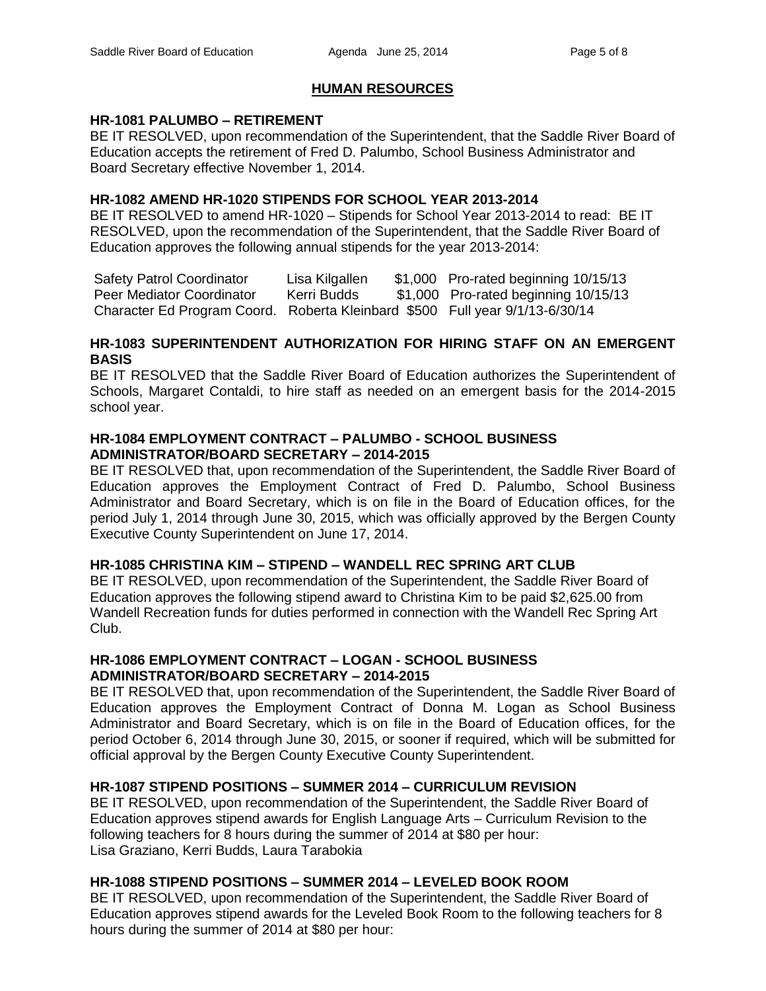# **HUMAN RESOURCES**

## **HR-1081 PALUMBO – RETIREMENT**

BE IT RESOLVED, upon recommendation of the Superintendent, that the Saddle River Board of Education accepts the retirement of Fred D. Palumbo, School Business Administrator and Board Secretary effective November 1, 2014.

## **HR-1082 AMEND HR-1020 STIPENDS FOR SCHOOL YEAR 2013-2014**

BE IT RESOLVED to amend HR-1020 – Stipends for School Year 2013-2014 to read: BE IT RESOLVED, upon the recommendation of the Superintendent, that the Saddle River Board of Education approves the following annual stipends for the year 2013-2014:

Safety Patrol Coordinator Lisa Kilgallen \$1,000 Pro-rated beginning 10/15/13 Peer Mediator Coordinator Kerri Budds \$1,000 Pro-rated beginning 10/15/13 Character Ed Program Coord. Roberta Kleinbard \$500 Full year 9/1/13-6/30/14

## **HR-1083 SUPERINTENDENT AUTHORIZATION FOR HIRING STAFF ON AN EMERGENT BASIS**

BE IT RESOLVED that the Saddle River Board of Education authorizes the Superintendent of Schools, Margaret Contaldi, to hire staff as needed on an emergent basis for the 2014-2015 school year.

### **HR-1084 EMPLOYMENT CONTRACT – PALUMBO - SCHOOL BUSINESS ADMINISTRATOR/BOARD SECRETARY – 2014-2015**

BE IT RESOLVED that, upon recommendation of the Superintendent, the Saddle River Board of Education approves the Employment Contract of Fred D. Palumbo, School Business Administrator and Board Secretary, which is on file in the Board of Education offices, for the period July 1, 2014 through June 30, 2015, which was officially approved by the Bergen County Executive County Superintendent on June 17, 2014.

## **HR-1085 CHRISTINA KIM – STIPEND – WANDELL REC SPRING ART CLUB**

BE IT RESOLVED, upon recommendation of the Superintendent, the Saddle River Board of Education approves the following stipend award to Christina Kim to be paid \$2,625.00 from Wandell Recreation funds for duties performed in connection with the Wandell Rec Spring Art Club.

## **HR-1086 EMPLOYMENT CONTRACT – LOGAN - SCHOOL BUSINESS ADMINISTRATOR/BOARD SECRETARY – 2014-2015**

BE IT RESOLVED that, upon recommendation of the Superintendent, the Saddle River Board of Education approves the Employment Contract of Donna M. Logan as School Business Administrator and Board Secretary, which is on file in the Board of Education offices, for the period October 6, 2014 through June 30, 2015, or sooner if required, which will be submitted for official approval by the Bergen County Executive County Superintendent.

## **HR-1087 STIPEND POSITIONS – SUMMER 2014 – CURRICULUM REVISION**

BE IT RESOLVED, upon recommendation of the Superintendent, the Saddle River Board of Education approves stipend awards for English Language Arts – Curriculum Revision to the following teachers for 8 hours during the summer of 2014 at \$80 per hour: Lisa Graziano, Kerri Budds, Laura Tarabokia

## **HR-1088 STIPEND POSITIONS – SUMMER 2014 – LEVELED BOOK ROOM**

BE IT RESOLVED, upon recommendation of the Superintendent, the Saddle River Board of Education approves stipend awards for the Leveled Book Room to the following teachers for 8 hours during the summer of 2014 at \$80 per hour: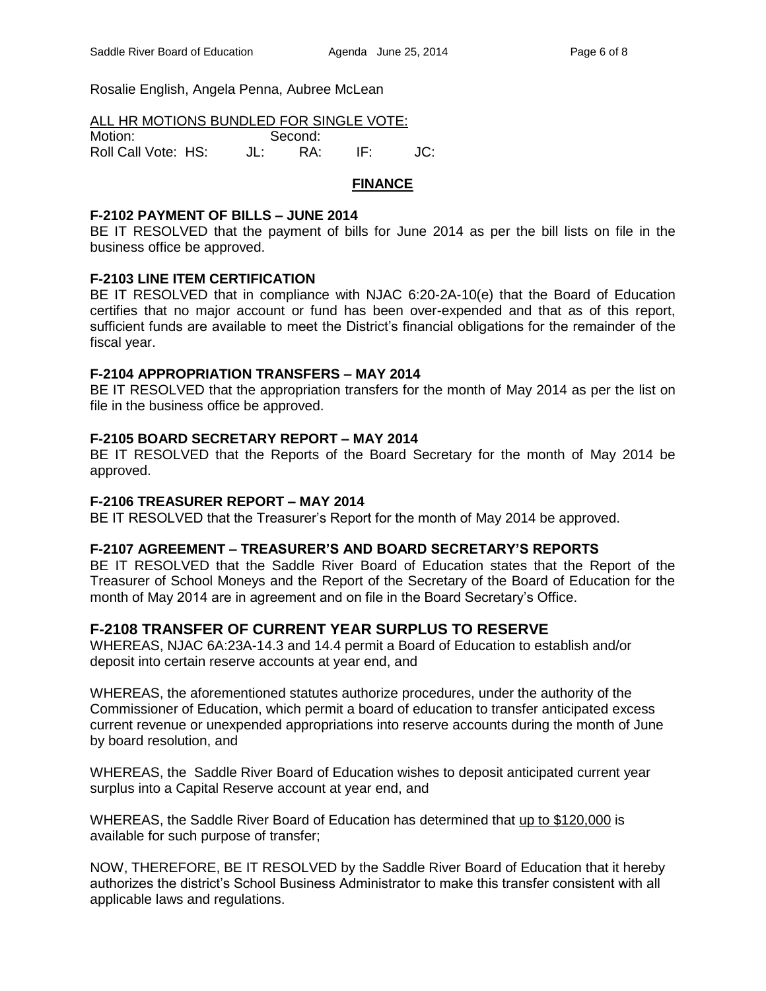Rosalie English, Angela Penna, Aubree McLean

| ALL HR MOTIONS BUNDLED FOR SINGLE VOTE: |  |  |
|-----------------------------------------|--|--|
|                                         |  |  |

| Motion:             | Second: |     |     |
|---------------------|---------|-----|-----|
| Roll Call Vote: HS: |         | RA: | JC: |

## **FINANCE**

## **F-2102 PAYMENT OF BILLS – JUNE 2014**

BE IT RESOLVED that the payment of bills for June 2014 as per the bill lists on file in the business office be approved.

## **F-2103 LINE ITEM CERTIFICATION**

BE IT RESOLVED that in compliance with NJAC 6:20-2A-10(e) that the Board of Education certifies that no major account or fund has been over-expended and that as of this report, sufficient funds are available to meet the District's financial obligations for the remainder of the fiscal year.

### **F-2104 APPROPRIATION TRANSFERS – MAY 2014**

BE IT RESOLVED that the appropriation transfers for the month of May 2014 as per the list on file in the business office be approved.

## **F-2105 BOARD SECRETARY REPORT – MAY 2014**

BE IT RESOLVED that the Reports of the Board Secretary for the month of May 2014 be approved.

### **F-2106 TREASURER REPORT – MAY 2014**

BE IT RESOLVED that the Treasurer's Report for the month of May 2014 be approved.

### **F-2107 AGREEMENT – TREASURER'S AND BOARD SECRETARY'S REPORTS**

BE IT RESOLVED that the Saddle River Board of Education states that the Report of the Treasurer of School Moneys and the Report of the Secretary of the Board of Education for the month of May 2014 are in agreement and on file in the Board Secretary's Office.

# **F-2108 TRANSFER OF CURRENT YEAR SURPLUS TO RESERVE**

WHEREAS, NJAC 6A:23A-14.3 and 14.4 permit a Board of Education to establish and/or deposit into certain reserve accounts at year end, and

WHEREAS, the aforementioned statutes authorize procedures, under the authority of the Commissioner of Education, which permit a board of education to transfer anticipated excess current revenue or unexpended appropriations into reserve accounts during the month of June by board resolution, and

WHEREAS, the Saddle River Board of Education wishes to deposit anticipated current year surplus into a Capital Reserve account at year end, and

WHEREAS, the Saddle River Board of Education has determined that up to \$120,000 is available for such purpose of transfer;

NOW, THEREFORE, BE IT RESOLVED by the Saddle River Board of Education that it hereby authorizes the district's School Business Administrator to make this transfer consistent with all applicable laws and regulations.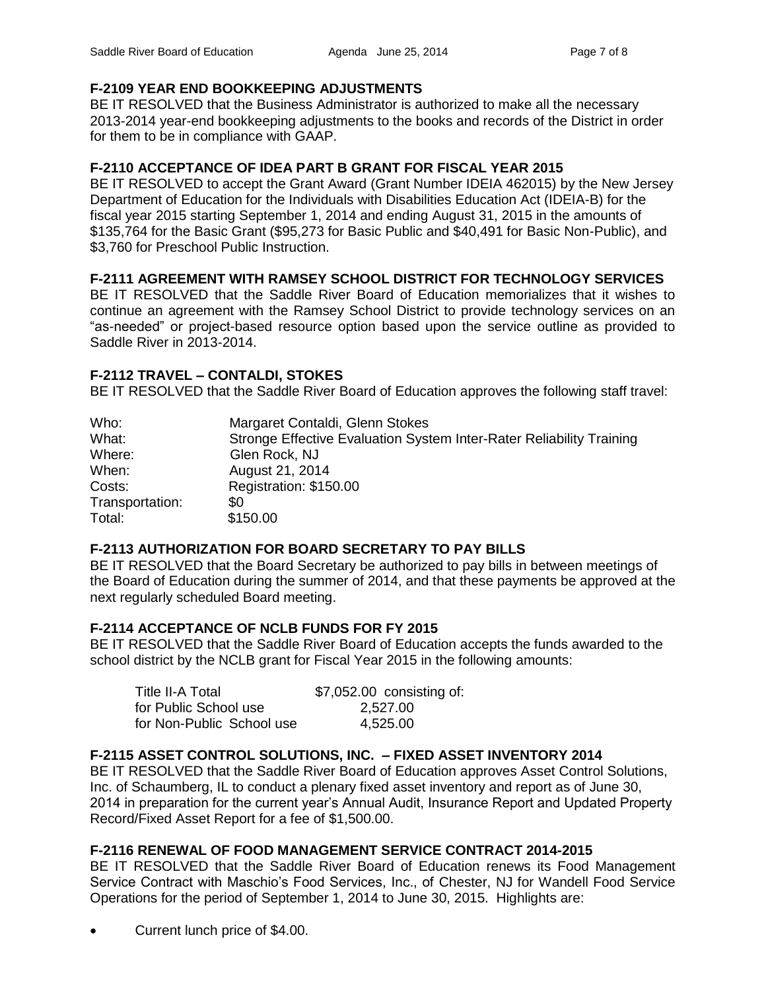### **F-2109 YEAR END BOOKKEEPING ADJUSTMENTS**

BE IT RESOLVED that the Business Administrator is authorized to make all the necessary 2013-2014 year-end bookkeeping adjustments to the books and records of the District in order for them to be in compliance with GAAP.

## **F-2110 ACCEPTANCE OF IDEA PART B GRANT FOR FISCAL YEAR 2015**

BE IT RESOLVED to accept the Grant Award (Grant Number IDEIA 462015) by the New Jersey Department of Education for the Individuals with Disabilities Education Act (IDEIA-B) for the fiscal year 2015 starting September 1, 2014 and ending August 31, 2015 in the amounts of \$135,764 for the Basic Grant (\$95,273 for Basic Public and \$40,491 for Basic Non-Public), and \$3,760 for Preschool Public Instruction.

## **F-2111 AGREEMENT WITH RAMSEY SCHOOL DISTRICT FOR TECHNOLOGY SERVICES**

BE IT RESOLVED that the Saddle River Board of Education memorializes that it wishes to continue an agreement with the Ramsey School District to provide technology services on an "as-needed" or project-based resource option based upon the service outline as provided to Saddle River in 2013-2014.

### **F-2112 TRAVEL – CONTALDI, STOKES**

BE IT RESOLVED that the Saddle River Board of Education approves the following staff travel:

| Who:            | Margaret Contaldi, Glenn Stokes                                      |
|-----------------|----------------------------------------------------------------------|
| What:           | Stronge Effective Evaluation System Inter-Rater Reliability Training |
| Where:          | Glen Rock, NJ                                                        |
| When:           | August 21, 2014                                                      |
| Costs:          | Registration: \$150.00                                               |
| Transportation: | \$0                                                                  |
| Total:          | \$150.00                                                             |

### **F-2113 AUTHORIZATION FOR BOARD SECRETARY TO PAY BILLS**

BE IT RESOLVED that the Board Secretary be authorized to pay bills in between meetings of the Board of Education during the summer of 2014, and that these payments be approved at the next regularly scheduled Board meeting.

### **F-2114 ACCEPTANCE OF NCLB FUNDS FOR FY 2015**

BE IT RESOLVED that the Saddle River Board of Education accepts the funds awarded to the school district by the NCLB grant for Fiscal Year 2015 in the following amounts:

| Title II-A Total          | \$7,052.00 consisting of: |
|---------------------------|---------------------------|
| for Public School use     | 2,527.00                  |
| for Non-Public School use | 4,525.00                  |

### **F-2115 ASSET CONTROL SOLUTIONS, INC. – FIXED ASSET INVENTORY 2014**

BE IT RESOLVED that the Saddle River Board of Education approves Asset Control Solutions, Inc. of Schaumberg, IL to conduct a plenary fixed asset inventory and report as of June 30, 2014 in preparation for the current year's Annual Audit, Insurance Report and Updated Property Record/Fixed Asset Report for a fee of \$1,500.00.

### **F-2116 RENEWAL OF FOOD MANAGEMENT SERVICE CONTRACT 2014-2015**

BE IT RESOLVED that the Saddle River Board of Education renews its Food Management Service Contract with Maschio's Food Services, Inc., of Chester, NJ for Wandell Food Service Operations for the period of September 1, 2014 to June 30, 2015. Highlights are:

Current lunch price of \$4.00.